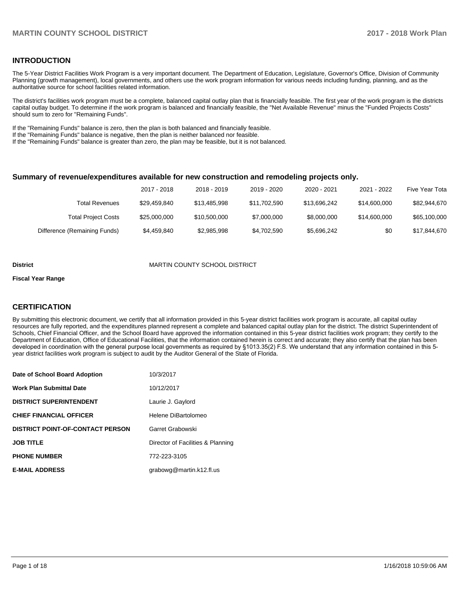#### **INTRODUCTION**

The 5-Year District Facilities Work Program is a very important document. The Department of Education, Legislature, Governor's Office, Division of Community Planning (growth management), local governments, and others use the work program information for various needs including funding, planning, and as the authoritative source for school facilities related information.

The district's facilities work program must be a complete, balanced capital outlay plan that is financially feasible. The first year of the work program is the districts capital outlay budget. To determine if the work program is balanced and financially feasible, the "Net Available Revenue" minus the "Funded Projects Costs" should sum to zero for "Remaining Funds".

If the "Remaining Funds" balance is zero, then the plan is both balanced and financially feasible.

If the "Remaining Funds" balance is negative, then the plan is neither balanced nor feasible.

If the "Remaining Funds" balance is greater than zero, the plan may be feasible, but it is not balanced.

#### **Summary of revenue/expenditures available for new construction and remodeling projects only.**

| Five Year Tota | 2021 - 2022  | 2020 - 2021  | 2019 - 2020  | 2018 - 2019  | 2017 - 2018  |                              |
|----------------|--------------|--------------|--------------|--------------|--------------|------------------------------|
| \$82,944,670   | \$14.600.000 | \$13.696.242 | \$11.702.590 | \$13,485,998 | \$29,459,840 | Total Revenues               |
| \$65,100,000   | \$14,600,000 | \$8,000,000  | \$7,000,000  | \$10,500,000 | \$25,000,000 | <b>Total Project Costs</b>   |
| \$17,844,670   | \$0          | \$5,696,242  | \$4,702,590  | \$2,985,998  | \$4,459,840  | Difference (Remaining Funds) |

#### **District** MARTIN COUNTY SCHOOL DISTRICT

#### **Fiscal Year Range**

#### **CERTIFICATION**

By submitting this electronic document, we certify that all information provided in this 5-year district facilities work program is accurate, all capital outlay resources are fully reported, and the expenditures planned represent a complete and balanced capital outlay plan for the district. The district Superintendent of Schools, Chief Financial Officer, and the School Board have approved the information contained in this 5-year district facilities work program; they certify to the Department of Education, Office of Educational Facilities, that the information contained herein is correct and accurate; they also certify that the plan has been developed in coordination with the general purpose local governments as required by §1013.35(2) F.S. We understand that any information contained in this 5year district facilities work program is subject to audit by the Auditor General of the State of Florida.

| Date of School Board Adoption           | 10/3/2017                         |
|-----------------------------------------|-----------------------------------|
| Work Plan Submittal Date                | 10/12/2017                        |
| <b>DISTRICT SUPERINTENDENT</b>          | Laurie J. Gaylord                 |
| <b>CHIEF FINANCIAL OFFICER</b>          | Helene DiBartolomeo               |
| <b>DISTRICT POINT-OF-CONTACT PERSON</b> | Garret Grabowski                  |
| JOB TITLE                               | Director of Facilities & Planning |
| <b>PHONE NUMBER</b>                     | 772-223-3105                      |
| <b>E-MAIL ADDRESS</b>                   | grabowg@martin.k12.fl.us          |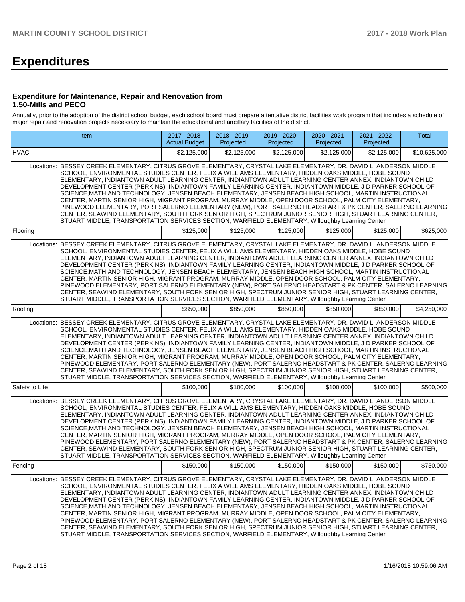# **Expenditures**

#### **Expenditure for Maintenance, Repair and Renovation from 1.50-Mills and PECO**

Annually, prior to the adoption of the district school budget, each school board must prepare a tentative district facilities work program that includes a schedule of major repair and renovation projects necessary to maintain the educational and ancillary facilities of the district.

|                | Item                                                                                                                                                                                                                                                                                                                                                                                                                                                                                                                                                                                                                                                                                                                                                                                                                                                                                                                                                                           | 2017 - 2018<br><b>Actual Budget</b> | 2018 - 2019<br>Projected | 2019 - 2020<br>Projected | 2020 - 2021<br>Projected | 2021 - 2022<br>Projected | Total        |
|----------------|--------------------------------------------------------------------------------------------------------------------------------------------------------------------------------------------------------------------------------------------------------------------------------------------------------------------------------------------------------------------------------------------------------------------------------------------------------------------------------------------------------------------------------------------------------------------------------------------------------------------------------------------------------------------------------------------------------------------------------------------------------------------------------------------------------------------------------------------------------------------------------------------------------------------------------------------------------------------------------|-------------------------------------|--------------------------|--------------------------|--------------------------|--------------------------|--------------|
| <b>HVAC</b>    |                                                                                                                                                                                                                                                                                                                                                                                                                                                                                                                                                                                                                                                                                                                                                                                                                                                                                                                                                                                | \$2,125,000                         | \$2,125,000              | \$2,125,000              | \$2.125.000              | \$2,125,000              | \$10,625,000 |
| Locations:     | BESSEY CREEK ELEMENTARY, CITRUS GROVE ELEMENTARY, CRYSTAL LAKE ELEMENTARY, DR. DAVID L. ANDERSON MIDDLE<br>SCHOOL, ENVIRONMENTAL STUDIES CENTER, FELIX A WILLIAMS ELEMENTARY, HIDDEN OAKS MIDDLE, HOBE SOUND<br>ELEMENTARY, INDIANTOWN ADULT LEARNING CENTER, INDIANTOWN ADULT LEARNING CENTER ANNEX, INDIANTOWN CHILD<br>DEVELOPMENT CENTER (PERKINS), INDIANTOWN FAMILY LEARNING CENTER, INDIANTOWN MIDDLE, J D PARKER SCHOOL OF<br>SCIENCE, MATH, AND TECHNOLOGY, JENSEN BEACH ELEMENTARY, JENSEN BEACH HIGH SCHOOL, MARTIN INSTRUCTIONAL<br>CENTER, MARTIN SENIOR HIGH, MIGRANT PROGRAM, MURRAY MIDDLE, OPEN DOOR SCHOOL, PALM CITY ELEMENTARY,<br>PINEWOOD ELEMENTARY, PORT SALERNO ELEMENTARY (NEW), PORT SALERNO HEADSTART & PK CENTER, SALERNO LEARNING<br>CENTER, SEAWIND ELEMENTARY, SOUTH FORK SENIOR HIGH, SPECTRUM JUNIOR SENIOR HIGH, STUART LEARNING CENTER,<br>STUART MIDDLE, TRANSPORTATION SERVICES SECTION, WARFIELD ELEMENTARY, Willoughby Learning Center |                                     |                          |                          |                          |                          |              |
| Flooring       |                                                                                                                                                                                                                                                                                                                                                                                                                                                                                                                                                                                                                                                                                                                                                                                                                                                                                                                                                                                | \$125,000                           | \$125,000                | \$125,000                | \$125,000                | \$125,000                | \$625,000    |
| Locations:     | BESSEY CREEK ELEMENTARY, CITRUS GROVE ELEMENTARY, CRYSTAL LAKE ELEMENTARY, DR. DAVID L. ANDERSON MIDDLE<br>SCHOOL, ENVIRONMENTAL STUDIES CENTER, FELIX A WILLIAMS ELEMENTARY, HIDDEN OAKS MIDDLE, HOBE SOUND<br>ELEMENTARY, INDIANTOWN ADULT LEARNING CENTER, INDIANTOWN ADULT LEARNING CENTER ANNEX, INDIANTOWN CHILD<br>DEVELOPMENT CENTER (PERKINS), INDIANTOWN FAMILY LEARNING CENTER, INDIANTOWN MIDDLE, J D PARKER SCHOOL OF<br>SCIENCE, MATH, AND TECHNOLOGY, JENSEN BEACH ELEMENTARY, JENSEN BEACH HIGH SCHOOL, MARTIN INSTRUCTIONAL<br>CENTER, MARTIN SENIOR HIGH, MIGRANT PROGRAM, MURRAY MIDDLE, OPEN DOOR SCHOOL, PALM CITY ELEMENTARY,<br>PINEWOOD ELEMENTARY, PORT SALERNO ELEMENTARY (NEW), PORT SALERNO HEADSTART & PK CENTER, SALERNO LEARNING<br>CENTER, SEAWIND ELEMENTARY, SOUTH FORK SENIOR HIGH, SPECTRUM JUNIOR SENIOR HIGH, STUART LEARNING CENTER,<br>STUART MIDDLE, TRANSPORTATION SERVICES SECTION, WARFIELD ELEMENTARY, Willoughby Learning Center |                                     |                          |                          |                          |                          |              |
| Roofing        |                                                                                                                                                                                                                                                                                                                                                                                                                                                                                                                                                                                                                                                                                                                                                                                                                                                                                                                                                                                | \$850,000                           | \$850,000                | \$850,000                | \$850,000                | \$850,000                | \$4.250.000  |
| Locations:     | BESSEY CREEK ELEMENTARY, CITRUS GROVE ELEMENTARY, CRYSTAL LAKE ELEMENTARY, DR. DAVID L. ANDERSON MIDDLE<br>SCHOOL, ENVIRONMENTAL STUDIES CENTER, FELIX A WILLIAMS ELEMENTARY, HIDDEN OAKS MIDDLE, HOBE SOUND<br>ELEMENTARY, INDIANTOWN ADULT LEARNING CENTER, INDIANTOWN ADULT LEARNING CENTER ANNEX, INDIANTOWN CHILD<br>DEVELOPMENT CENTER (PERKINS), INDIANTOWN FAMILY LEARNING CENTER, INDIANTOWN MIDDLE, J D PARKER SCHOOL OF<br>SCIENCE, MATH, AND TECHNOLOGY, JENSEN BEACH ELEMENTARY, JENSEN BEACH HIGH SCHOOL, MARTIN INSTRUCTIONAL<br>CENTER, MARTIN SENIOR HIGH, MIGRANT PROGRAM, MURRAY MIDDLE, OPEN DOOR SCHOOL, PALM CITY ELEMENTARY,<br>PINEWOOD ELEMENTARY, PORT SALERNO ELEMENTARY (NEW), PORT SALERNO HEADSTART & PK CENTER, SALERNO LEARNING<br>CENTER, SEAWIND ELEMENTARY, SOUTH FORK SENIOR HIGH, SPECTRUM JUNIOR SENIOR HIGH, STUART LEARNING CENTER,<br>STUART MIDDLE, TRANSPORTATION SERVICES SECTION, WARFIELD ELEMENTARY, Willoughby Learning Center |                                     |                          |                          |                          |                          |              |
| Safety to Life |                                                                                                                                                                                                                                                                                                                                                                                                                                                                                                                                                                                                                                                                                                                                                                                                                                                                                                                                                                                | \$100,000                           | \$100,000                | \$100,000                | \$100,000                | \$100,000                | \$500,000    |
| Locations:     | BESSEY CREEK ELEMENTARY, CITRUS GROVE ELEMENTARY, CRYSTAL LAKE ELEMENTARY, DR. DAVID L. ANDERSON MIDDLE<br>SCHOOL, ENVIRONMENTAL STUDIES CENTER, FELIX A WILLIAMS ELEMENTARY, HIDDEN OAKS MIDDLE, HOBE SOUND<br>ELEMENTARY, INDIANTOWN ADULT LEARNING CENTER, INDIANTOWN ADULT LEARNING CENTER ANNEX, INDIANTOWN CHILD<br>DEVELOPMENT CENTER (PERKINS), INDIANTOWN FAMILY LEARNING CENTER, INDIANTOWN MIDDLE, J D PARKER SCHOOL OF<br>SCIENCE, MATH, AND TECHNOLOGY, JENSEN BEACH ELEMENTARY, JENSEN BEACH HIGH SCHOOL, MARTIN INSTRUCTIONAL<br>CENTER, MARTIN SENIOR HIGH, MIGRANT PROGRAM, MURRAY MIDDLE, OPEN DOOR SCHOOL, PALM CITY ELEMENTARY,<br>PINEWOOD ELEMENTARY, PORT SALERNO ELEMENTARY (NEW), PORT SALERNO HEADSTART & PK CENTER, SALERNO LEARNING<br>CENTER, SEAWIND ELEMENTARY, SOUTH FORK SENIOR HIGH, SPECTRUM JUNIOR SENIOR HIGH, STUART LEARNING CENTER,<br>STUART MIDDLE, TRANSPORTATION SERVICES SECTION, WARFIELD ELEMENTARY, Willoughby Learning Center |                                     |                          |                          |                          |                          |              |
| Fencing        |                                                                                                                                                                                                                                                                                                                                                                                                                                                                                                                                                                                                                                                                                                                                                                                                                                                                                                                                                                                | \$150,000                           | \$150,000                | \$150,000                | \$150,000                | \$150,000                | \$750,000    |
| Locations:     | BESSEY CREEK ELEMENTARY, CITRUS GROVE ELEMENTARY, CRYSTAL LAKE ELEMENTARY, DR. DAVID L. ANDERSON MIDDLE<br>SCHOOL, ENVIRONMENTAL STUDIES CENTER, FELIX A WILLIAMS ELEMENTARY, HIDDEN OAKS MIDDLE, HOBE SOUND<br>ELEMENTARY, INDIANTOWN ADULT LEARNING CENTER, INDIANTOWN ADULT LEARNING CENTER ANNEX, INDIANTOWN CHILD<br>DEVELOPMENT CENTER (PERKINS), INDIANTOWN FAMILY LEARNING CENTER, INDIANTOWN MIDDLE, J D PARKER SCHOOL OF<br>SCIENCE,MATH,AND TECHNOLOGY, JENSEN BEACH ELEMENTARY, JENSEN BEACH HIGH SCHOOL, MARTIN INSTRUCTIONAL<br>CENTER, MARTIN SENIOR HIGH, MIGRANT PROGRAM, MURRAY MIDDLE, OPEN DOOR SCHOOL, PALM CITY ELEMENTARY,<br>PINEWOOD ELEMENTARY, PORT SALERNO ELEMENTARY (NEW), PORT SALERNO HEADSTART & PK CENTER, SALERNO LEARNING <br>CENTER, SEAWIND ELEMENTARY, SOUTH FORK SENIOR HIGH, SPECTRUM JUNIOR SENIOR HIGH, STUART LEARNING CENTER,<br>STUART MIDDLE, TRANSPORTATION SERVICES SECTION, WARFIELD ELEMENTARY, Willoughby Learning Center  |                                     |                          |                          |                          |                          |              |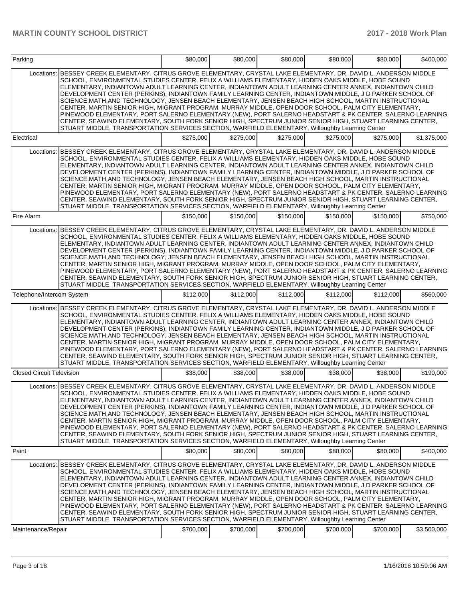| BESSEY CREEK ELEMENTARY, CITRUS GROVE ELEMENTARY, CRYSTAL LAKE ELEMENTARY, DR. DAVID L. ANDERSON MIDDLE<br>Locations:<br>SCHOOL, ENVIRONMENTAL STUDIES CENTER, FELIX A WILLIAMS ELEMENTARY, HIDDEN OAKS MIDDLE, HOBE SOUND<br>ELEMENTARY, INDIANTOWN ADULT LEARNING CENTER, INDIANTOWN ADULT LEARNING CENTER ANNEX, INDIANTOWN CHILD<br>DEVELOPMENT CENTER (PERKINS), INDIANTOWN FAMILY LEARNING CENTER, INDIANTOWN MIDDLE, J D PARKER SCHOOL OF<br>SCIENCE, MATH, AND TECHNOLOGY, JENSEN BEACH ELEMENTARY, JENSEN BEACH HIGH SCHOOL, MARTIN INSTRUCTIONAL<br>CENTER, MARTIN SENIOR HIGH, MIGRANT PROGRAM, MURRAY MIDDLE, OPEN DOOR SCHOOL, PALM CITY ELEMENTARY,<br>PINEWOOD ELEMENTARY, PORT SALERNO ELEMENTARY (NEW), PORT SALERNO HEADSTART & PK CENTER, SALERNO LEARNING<br>CENTER, SEAWIND ELEMENTARY, SOUTH FORK SENIOR HIGH, SPECTRUM JUNIOR SENIOR HIGH, STUART LEARNING CENTER,<br>STUART MIDDLE, TRANSPORTATION SERVICES SECTION, WARFIELD ELEMENTARY, Willoughby Learning Center<br>\$275.000<br>\$275,000<br>\$275.000<br>\$275,000<br>\$275.000<br>Electrical<br>BESSEY CREEK ELEMENTARY, CITRUS GROVE ELEMENTARY, CRYSTAL LAKE ELEMENTARY, DR. DAVID L. ANDERSON MIDDLE<br>Locations:<br>SCHOOL, ENVIRONMENTAL STUDIES CENTER, FELIX A WILLIAMS ELEMENTARY, HIDDEN OAKS MIDDLE, HOBE SOUND<br>ELEMENTARY, INDIANTOWN ADULT LEARNING CENTER, INDIANTOWN ADULT LEARNING CENTER ANNEX, INDIANTOWN CHILD<br>DEVELOPMENT CENTER (PERKINS), INDIANTOWN FAMILY LEARNING CENTER, INDIANTOWN MIDDLE, J D PARKER SCHOOL OF<br>SCIENCE, MATH, AND TECHNOLOGY, JENSEN BEACH ELEMENTARY, JENSEN BEACH HIGH SCHOOL, MARTIN INSTRUCTIONAL<br>CENTER, MARTIN SENIOR HIGH, MIGRANT PROGRAM, MURRAY MIDDLE, OPEN DOOR SCHOOL, PALM CITY ELEMENTARY,<br>PINEWOOD ELEMENTARY, PORT SALERNO ELEMENTARY (NEW), PORT SALERNO HEADSTART & PK CENTER, SALERNO LEARNING<br>CENTER, SEAWIND ELEMENTARY, SOUTH FORK SENIOR HIGH, SPECTRUM JUNIOR SENIOR HIGH, STUART LEARNING CENTER,<br>STUART MIDDLE, TRANSPORTATION SERVICES SECTION, WARFIELD ELEMENTARY, Willoughby Learning Center<br>\$150,000<br>Fire Alarm<br>\$150,000<br>\$150,000<br>\$150,000<br>\$150,000<br>BESSEY CREEK ELEMENTARY, CITRUS GROVE ELEMENTARY, CRYSTAL LAKE ELEMENTARY, DR. DAVID L. ANDERSON MIDDLE<br>Locations: |             |
|-------------------------------------------------------------------------------------------------------------------------------------------------------------------------------------------------------------------------------------------------------------------------------------------------------------------------------------------------------------------------------------------------------------------------------------------------------------------------------------------------------------------------------------------------------------------------------------------------------------------------------------------------------------------------------------------------------------------------------------------------------------------------------------------------------------------------------------------------------------------------------------------------------------------------------------------------------------------------------------------------------------------------------------------------------------------------------------------------------------------------------------------------------------------------------------------------------------------------------------------------------------------------------------------------------------------------------------------------------------------------------------------------------------------------------------------------------------------------------------------------------------------------------------------------------------------------------------------------------------------------------------------------------------------------------------------------------------------------------------------------------------------------------------------------------------------------------------------------------------------------------------------------------------------------------------------------------------------------------------------------------------------------------------------------------------------------------------------------------------------------------------------------------------------------------------------------------------------------------------------------------------------------------------|-------------|
|                                                                                                                                                                                                                                                                                                                                                                                                                                                                                                                                                                                                                                                                                                                                                                                                                                                                                                                                                                                                                                                                                                                                                                                                                                                                                                                                                                                                                                                                                                                                                                                                                                                                                                                                                                                                                                                                                                                                                                                                                                                                                                                                                                                                                                                                                     |             |
|                                                                                                                                                                                                                                                                                                                                                                                                                                                                                                                                                                                                                                                                                                                                                                                                                                                                                                                                                                                                                                                                                                                                                                                                                                                                                                                                                                                                                                                                                                                                                                                                                                                                                                                                                                                                                                                                                                                                                                                                                                                                                                                                                                                                                                                                                     | \$1,375,000 |
|                                                                                                                                                                                                                                                                                                                                                                                                                                                                                                                                                                                                                                                                                                                                                                                                                                                                                                                                                                                                                                                                                                                                                                                                                                                                                                                                                                                                                                                                                                                                                                                                                                                                                                                                                                                                                                                                                                                                                                                                                                                                                                                                                                                                                                                                                     |             |
|                                                                                                                                                                                                                                                                                                                                                                                                                                                                                                                                                                                                                                                                                                                                                                                                                                                                                                                                                                                                                                                                                                                                                                                                                                                                                                                                                                                                                                                                                                                                                                                                                                                                                                                                                                                                                                                                                                                                                                                                                                                                                                                                                                                                                                                                                     | \$750,000   |
| SCHOOL, ENVIRONMENTAL STUDIES CENTER, FELIX A WILLIAMS ELEMENTARY, HIDDEN OAKS MIDDLE, HOBE SOUND<br>ELEMENTARY. INDIANTOWN ADULT LEARNING CENTER. INDIANTOWN ADULT LEARNING CENTER ANNEX. INDIANTOWN CHILD<br>DEVELOPMENT CENTER (PERKINS), INDIANTOWN FAMILY LEARNING CENTER, INDIANTOWN MIDDLE, J D PARKER SCHOOL OF<br>SCIENCE, MATH, AND TECHNOLOGY, JENSEN BEACH ELEMENTARY, JENSEN BEACH HIGH SCHOOL, MARTIN INSTRUCTIONAL<br>CENTER, MARTIN SENIOR HIGH, MIGRANT PROGRAM, MURRAY MIDDLE, OPEN DOOR SCHOOL, PALM CITY ELEMENTARY,<br>PINEWOOD ELEMENTARY, PORT SALERNO ELEMENTARY (NEW), PORT SALERNO HEADSTART & PK CENTER, SALERNO LEARNING<br>CENTER, SEAWIND ELEMENTARY, SOUTH FORK SENIOR HIGH, SPECTRUM JUNIOR SENIOR HIGH, STUART LEARNING CENTER,<br>STUART MIDDLE, TRANSPORTATION SERVICES SECTION, WARFIELD ELEMENTARY, Willoughby Learning Center                                                                                                                                                                                                                                                                                                                                                                                                                                                                                                                                                                                                                                                                                                                                                                                                                                                                                                                                                                                                                                                                                                                                                                                                                                                                                                                                                                                                                 |             |
| \$112,000<br>\$112,000<br>Telephone/Intercom System<br>\$112,000<br>\$112,000<br>\$112,000                                                                                                                                                                                                                                                                                                                                                                                                                                                                                                                                                                                                                                                                                                                                                                                                                                                                                                                                                                                                                                                                                                                                                                                                                                                                                                                                                                                                                                                                                                                                                                                                                                                                                                                                                                                                                                                                                                                                                                                                                                                                                                                                                                                          | \$560,000   |
| BESSEY CREEK ELEMENTARY, CITRUS GROVE ELEMENTARY, CRYSTAL LAKE ELEMENTARY, DR. DAVID L. ANDERSON MIDDLE<br>Locations:<br>SCHOOL, ENVIRONMENTAL STUDIES CENTER, FELIX A WILLIAMS ELEMENTARY, HIDDEN OAKS MIDDLE, HOBE SOUND<br>ELEMENTARY, INDIANTOWN ADULT LEARNING CENTER, INDIANTOWN ADULT LEARNING CENTER ANNEX, INDIANTOWN CHILD<br>DEVELOPMENT CENTER (PERKINS), INDIANTOWN FAMILY LEARNING CENTER, INDIANTOWN MIDDLE, J D PARKER SCHOOL OF<br>SCIENCE, MATH, AND TECHNOLOGY, JENSEN BEACH ELEMENTARY, JENSEN BEACH HIGH SCHOOL, MARTIN INSTRUCTIONAL<br>CENTER, MARTIN SENIOR HIGH, MIGRANT PROGRAM, MURRAY MIDDLE, OPEN DOOR SCHOOL, PALM CITY ELEMENTARY,<br>PINEWOOD ELEMENTARY, PORT SALERNO ELEMENTARY (NEW), PORT SALERNO HEADSTART & PK CENTER, SALERNO LEARNING<br>CENTER, SEAWIND ELEMENTARY, SOUTH FORK SENIOR HIGH, SPECTRUM JUNIOR SENIOR HIGH, STUART LEARNING CENTER,<br>STUART MIDDLE, TRANSPORTATION SERVICES SECTION, WARFIELD ELEMENTARY, Willoughby Learning Center                                                                                                                                                                                                                                                                                                                                                                                                                                                                                                                                                                                                                                                                                                                                                                                                                                                                                                                                                                                                                                                                                                                                                                                                                                                                                        |             |
| <b>Closed Circuit Television</b><br>\$38,000<br>\$38,000<br>\$38,000<br>\$38,000<br>\$38,000                                                                                                                                                                                                                                                                                                                                                                                                                                                                                                                                                                                                                                                                                                                                                                                                                                                                                                                                                                                                                                                                                                                                                                                                                                                                                                                                                                                                                                                                                                                                                                                                                                                                                                                                                                                                                                                                                                                                                                                                                                                                                                                                                                                        | \$190,000   |
| Locations: BESSEY CREEK ELEMENTARY, CITRUS GROVE ELEMENTARY, CRYSTAL LAKE ELEMENTARY, DR. DAVID L. ANDERSON MIDDLE<br>SCHOOL, ENVIRONMENTAL STUDIES CENTER, FELIX A WILLIAMS ELEMENTARY, HIDDEN OAKS MIDDLE, HOBE SOUND<br>ELEMENTARY, INDIANTOWN ADULT LEARNING CENTER, INDIANTOWN ADULT LEARNING CENTER ANNEX, INDIANTOWN CHILD<br>DEVELOPMENT CENTER (PERKINS), INDIANTOWN FAMILY LEARNING CENTER, INDIANTOWN MIDDLE, J D PARKER SCHOOL OF<br>SCIENCE, MATH, AND TECHNOLOGY, JENSEN BEACH ELEMENTARY, JENSEN BEACH HIGH SCHOOL, MARTIN INSTRUCTIONAL<br>CENTER, MARTIN SENIOR HIGH, MIGRANT PROGRAM, MURRAY MIDDLE, OPEN DOOR SCHOOL, PALM CITY ELEMENTARY,<br>PINEWOOD ELEMENTARY, PORT SALERNO ELEMENTARY (NEW), PORT SALERNO HEADSTART & PK CENTER, SALERNO LEARNING<br>CENTER, SEAWIND ELEMENTARY, SOUTH FORK SENIOR HIGH, SPECTRUM JUNIOR SENIOR HIGH, STUART LEARNING CENTER,<br>STUART MIDDLE, TRANSPORTATION SERVICES SECTION, WARFIELD ELEMENTARY, Willoughby Learning Center                                                                                                                                                                                                                                                                                                                                                                                                                                                                                                                                                                                                                                                                                                                                                                                                                                                                                                                                                                                                                                                                                                                                                                                                                                                                                           |             |
| \$80,000<br>\$80,000<br>\$80,000<br>\$80,000<br>Paint<br>\$80,000                                                                                                                                                                                                                                                                                                                                                                                                                                                                                                                                                                                                                                                                                                                                                                                                                                                                                                                                                                                                                                                                                                                                                                                                                                                                                                                                                                                                                                                                                                                                                                                                                                                                                                                                                                                                                                                                                                                                                                                                                                                                                                                                                                                                                   | \$400,000   |
| BESSEY CREEK ELEMENTARY, CITRUS GROVE ELEMENTARY, CRYSTAL LAKE ELEMENTARY, DR. DAVID L. ANDERSON MIDDLE<br>Locations:<br>SCHOOL, ENVIRONMENTAL STUDIES CENTER, FELIX A WILLIAMS ELEMENTARY, HIDDEN OAKS MIDDLE, HOBE SOUND<br>ELEMENTARY, INDIANTOWN ADULT LEARNING CENTER, INDIANTOWN ADULT LEARNING CENTER ANNEX, INDIANTOWN CHILD<br>DEVELOPMENT CENTER (PERKINS), INDIANTOWN FAMILY LEARNING CENTER, INDIANTOWN MIDDLE, J D PARKER SCHOOL OF<br>SCIENCE,MATH,AND TECHNOLOGY, JENSEN BEACH ELEMENTARY, JENSEN BEACH HIGH SCHOOL, MARTIN INSTRUCTIONAL<br>CENTER, MARTIN SENIOR HIGH, MIGRANT PROGRAM, MURRAY MIDDLE, OPEN DOOR SCHOOL, PALM CITY ELEMENTARY,<br>PINEWOOD ELEMENTARY, PORT SALERNO ELEMENTARY (NEW), PORT SALERNO HEADSTART & PK CENTER, SALERNO LEARNING<br>CENTER, SEAWIND ELEMENTARY, SOUTH FORK SENIOR HIGH, SPECTRUM JUNIOR SENIOR HIGH, STUART LEARNING CENTER,<br>STUART MIDDLE, TRANSPORTATION SERVICES SECTION, WARFIELD ELEMENTARY, Willoughby Learning Center<br>Maintenance/Repair<br>\$700,000<br>\$700,000<br>\$700,000<br>\$700,000<br>\$700,000                                                                                                                                                                                                                                                                                                                                                                                                                                                                                                                                                                                                                                                                                                                                                                                                                                                                                                                                                                                                                                                                                                                                                                                                   |             |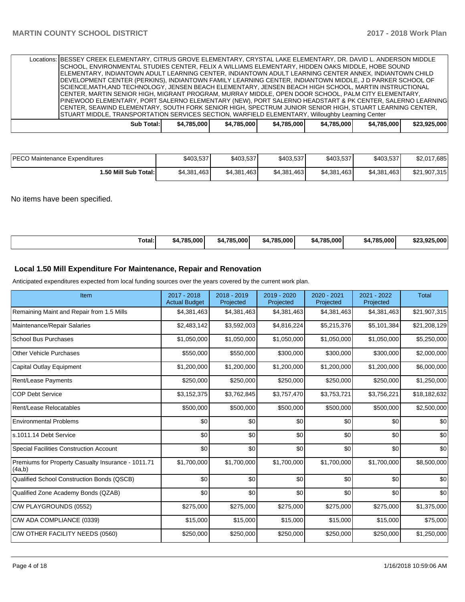| Locations: BESSEY CREEK ELEMENTARY, CITRUS GROVE ELEMENTARY, CRYSTAL LAKE ELEMENTARY, DR. DAVID L. ANDERSON MIDDLE |  |            |             |  |             |  |             |  |             |             |  |              |
|--------------------------------------------------------------------------------------------------------------------|--|------------|-------------|--|-------------|--|-------------|--|-------------|-------------|--|--------------|
| SCHOOL, ENVIRONMENTAL STUDIES CENTER, FELIX A WILLIAMS ELEMENTARY, HIDDEN OAKS MIDDLE, HOBE SOUND                  |  |            |             |  |             |  |             |  |             |             |  |              |
| ELEMENTARY, INDIANTOWN ADULT LEARNING CENTER, INDIANTOWN ADULT LEARNING CENTER ANNEX, INDIANTOWN CHILD             |  |            |             |  |             |  |             |  |             |             |  |              |
| DEVELOPMENT CENTER (PERKINS), INDIANTOWN FAMILY LEARNING CENTER, INDIANTOWN MIDDLE, J D PARKER SCHOOL OF           |  |            |             |  |             |  |             |  |             |             |  |              |
| SCIENCE,MATH,AND TECHNOLOGY, JENSEN BEACH ELEMENTARY, JENSEN BEACH HIGH SCHOOL, MARTIN INSTRUCTIONAL               |  |            |             |  |             |  |             |  |             |             |  |              |
| CENTER, MARTIN SENIOR HIGH, MIGRANT PROGRAM, MURRAY MIDDLE, OPEN DOOR SCHOOL, PALM CITY ELEMENTARY,                |  |            |             |  |             |  |             |  |             |             |  |              |
| PINEWOOD ELEMENTARY, PORT SALERNO ELEMENTARY (NEW), PORT SALERNO HEADSTART & PK CENTER, SALERNO LEARNING           |  |            |             |  |             |  |             |  |             |             |  |              |
| CENTER, SEAWIND ELEMENTARY, SOUTH FORK SENIOR HIGH, SPECTRUM JUNIOR SENIOR HIGH, STUART LEARNING CENTER,           |  |            |             |  |             |  |             |  |             |             |  |              |
| STUART MIDDLE, TRANSPORTATION SERVICES SECTION, WARFIELD ELEMENTARY, Willoughby Learning Center                    |  |            |             |  |             |  |             |  |             |             |  |              |
|                                                                                                                    |  | Sub Total: | \$4.785.000 |  | \$4.785.000 |  | \$4.785.000 |  | \$4.785.000 | \$4.785.000 |  | \$23.925.000 |
|                                                                                                                    |  |            |             |  |             |  |             |  |             |             |  |              |

| <b>PECO Maintenance Expenditures</b> | \$403.537   | \$403.537   | \$403.537   | \$403.537   | \$403.537   | \$2,017,685  |
|--------------------------------------|-------------|-------------|-------------|-------------|-------------|--------------|
| i.50 Mill Sub Total: I               | \$4,381,463 | \$4.381.463 | \$4,381,463 | \$4,381,463 | \$4.381.463 | \$21.907.315 |

No items have been specified.

| . | Total: | ا 785.000.<br>\$4.7 | \$4.785.000 | \$4.785.000 | 1.785.000<br>-54 | \$4.785.000 | \$23,925,000 |
|---|--------|---------------------|-------------|-------------|------------------|-------------|--------------|
|---|--------|---------------------|-------------|-------------|------------------|-------------|--------------|

# **Local 1.50 Mill Expenditure For Maintenance, Repair and Renovation**

Anticipated expenditures expected from local funding sources over the years covered by the current work plan.

| Item                                                         | 2017 - 2018<br><b>Actual Budget</b> | 2018 - 2019<br>Projected | 2019 - 2020<br>Projected | 2020 - 2021<br>Projected | 2021 - 2022<br>Projected | <b>Total</b> |
|--------------------------------------------------------------|-------------------------------------|--------------------------|--------------------------|--------------------------|--------------------------|--------------|
| Remaining Maint and Repair from 1.5 Mills                    | \$4,381,463                         | \$4,381,463              | \$4,381,463              | \$4,381,463              | \$4,381,463              | \$21,907,315 |
| Maintenance/Repair Salaries                                  | \$2,483,142                         | \$3,592,003              | \$4,816,224              | \$5,215,376              | \$5,101,384              | \$21,208,129 |
| <b>School Bus Purchases</b>                                  | \$1,050,000                         | \$1,050,000              | \$1,050,000              | \$1,050,000              | \$1,050,000              | \$5,250,000  |
| <b>Other Vehicle Purchases</b>                               | \$550,000                           | \$550,000                | \$300,000                | \$300,000                | \$300,000                | \$2,000,000  |
| <b>Capital Outlay Equipment</b>                              | \$1,200,000                         | \$1,200,000              | \$1,200,000              | \$1,200,000              | \$1,200,000              | \$6,000,000  |
| <b>Rent/Lease Payments</b>                                   | \$250,000                           | \$250,000                | \$250,000                | \$250,000                | \$250,000                | \$1,250,000  |
| <b>COP Debt Service</b>                                      | \$3,152,375                         | \$3,762,845              | \$3,757,470              | \$3,753,721              | \$3,756,221              | \$18,182,632 |
| Rent/Lease Relocatables                                      | \$500,000                           | \$500,000                | \$500,000                | \$500,000                | \$500,000                | \$2,500,000  |
| <b>Environmental Problems</b>                                | \$0                                 | \$0                      | \$0                      | \$0                      | \$0                      | \$0          |
| s.1011.14 Debt Service                                       | \$0                                 | \$0                      | \$0                      | \$0                      | \$0                      | \$0          |
| <b>Special Facilities Construction Account</b>               | \$0                                 | \$0                      | \$0                      | \$0                      | \$0                      | \$0          |
| Premiums for Property Casualty Insurance - 1011.71<br>(4a,b) | \$1,700,000                         | \$1,700,000              | \$1,700,000              | \$1,700,000              | \$1,700,000              | \$8,500,000  |
| Qualified School Construction Bonds (QSCB)                   | \$0                                 | \$0                      | \$0                      | \$0                      | \$0                      | \$0          |
| Qualified Zone Academy Bonds (QZAB)                          | \$0                                 | \$0                      | \$0                      | \$0                      | \$0                      | \$0          |
| C/W PLAYGROUNDS (0552)                                       | \$275,000                           | \$275,000                | \$275,000                | \$275,000                | \$275,000                | \$1,375,000  |
| C/W ADA COMPLIANCE (0339)                                    | \$15,000                            | \$15,000                 | \$15,000                 | \$15,000                 | \$15,000                 | \$75,000     |
| C/W OTHER FACILITY NEEDS (0560)                              | \$250,000                           | \$250,000                | \$250,000                | \$250,000                | \$250,000                | \$1,250,000  |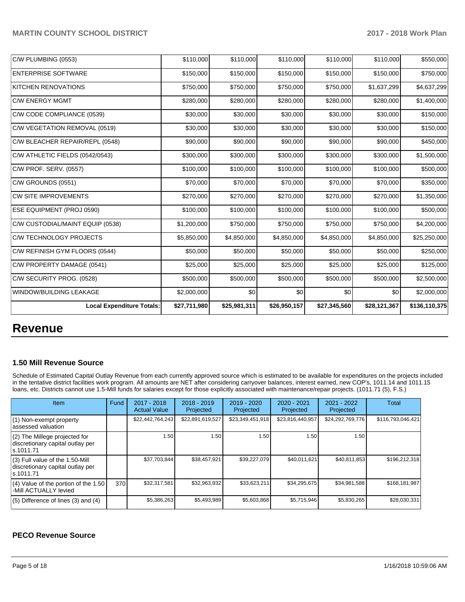| <b>Local Expenditure Totals:</b> | \$27,711,980 | \$25,981,311 | \$26,950,157 | \$27,345,560 | \$28,121,367 | \$136,110,375 |
|----------------------------------|--------------|--------------|--------------|--------------|--------------|---------------|
| WINDOW/BUILDING LEAKAGE          | \$2,000,000  | \$0          | \$0          | \$0          | \$0          | \$2,000,000   |
| C/W SECURITY PROG. (0528)        | \$500,000    | \$500,000    | \$500,000    | \$500,000    | \$500,000    | \$2,500,000   |
| C/W PROPERTY DAMAGE (0541)       | \$25,000     | \$25,000     | \$25,000     | \$25,000     | \$25,000     | \$125,000     |
| C/W REFINISH GYM FLOORS (0544)   | \$50,000     | \$50,000     | \$50,000     | \$50,000     | \$50,000     | \$250,000     |
| <b>C/W TECHNOLOGY PROJECTS</b>   | \$5,850,000  | \$4,850,000  | \$4,850,000  | \$4,850,000  | \$4,850,000  | \$25,250,000  |
| C/W CUSTODIAL/MAINT EQUIP (0538) | \$1,200,000  | \$750,000    | \$750,000    | \$750,000    | \$750,000    | \$4,200,000   |
| ESE EQUIPMENT (PROJ 0590)        | \$100,000    | \$100,000    | \$100,000    | \$100,000    | \$100,000    | \$500,000     |
| <b>CW SITE IMPROVEMENTS</b>      | \$270,000    | \$270,000    | \$270,000    | \$270,000    | \$270,000    | \$1,350,000   |
| C/W GROUNDS (0551)               | \$70,000     | \$70,000     | \$70,000     | \$70,000     | \$70,000     | \$350,000     |
| C/W PROF. SERV. (0557)           | \$100,000    | \$100,000    | \$100,000    | \$100,000    | \$100,000    | \$500,000     |
| C/W ATHLETIC FIELDS (0542/0543)  | \$300,000    | \$300,000    | \$300,000    | \$300,000    | \$300,000    | \$1,500,000   |
| C/W BLEACHER REPAIR/REPL (0548)  | \$90,000     | \$90,000     | \$90,000     | \$90,000     | \$90,000     | \$450,000     |
| C/W VEGETATION REMOVAL (0519)    | \$30,000     | \$30,000     | \$30,000     | \$30,000     | \$30,000     | \$150,000     |
| C/W CODE COMPLIANCE (0539)       | \$30,000     | \$30,000     | \$30,000     | \$30,000     | \$30,000     | \$150,000     |
| <b>C/W ENERGY MGMT</b>           | \$280,000    | \$280,000    | \$280,000    | \$280,000    | \$280,000    | \$1,400,000   |
| <b>KITCHEN RENOVATIONS</b>       | \$750,000    | \$750,000    | \$750,000    | \$750,000    | \$1,637,299  | \$4,637,299   |
| <b>ENTERPRISE SOFTWARE</b>       | \$150,000    | \$150,000    | \$150,000    | \$150,000    | \$150,000    | \$750,000     |
| C/W PLUMBING (0553)              | \$110,000    | \$110,000    | \$110,000    | \$110,000    | \$110,000    | \$550,000     |
|                                  |              |              |              |              |              |               |

# **Revenue**

#### **1.50 Mill Revenue Source**

Schedule of Estimated Capital Outlay Revenue from each currently approved source which is estimated to be available for expenditures on the projects included in the tentative district facilities work program. All amounts are NET after considering carryover balances, interest earned, new COP's, 1011.14 and 1011.15 loans, etc. Districts cannot use 1.5-Mill funds for salaries except for those explicitly associated with maintenance/repair projects. (1011.71 (5), F.S.)

| Item                                                                                | Fund | $2017 - 2018$<br><b>Actual Value</b> | $2018 - 2019$<br>Projected | $2019 - 2020$<br>Projected | $2020 - 2021$<br>Projected | $2021 - 2022$<br>Projected | <b>Total</b>      |
|-------------------------------------------------------------------------------------|------|--------------------------------------|----------------------------|----------------------------|----------------------------|----------------------------|-------------------|
| (1) Non-exempt property<br>lassessed valuation                                      |      | \$22,442,764,243                     | \$22,891,619,527           | \$23,349,451,918           | \$23,816,440,957           | \$24,292,769,776           | \$116,793,046,421 |
| (2) The Millege projected for<br>discretionary capital outlay per<br>ls.1011.71     |      | 1.50                                 | 1.50                       | 1.50                       | 1.50                       | 1.50                       |                   |
| $(3)$ Full value of the 1.50-Mill<br>discretionary capital outlay per<br>ls.1011.71 |      | \$37,703,844                         | \$38.457.921               | \$39,227,079               | \$40.011.621               | \$40.811.853               | \$196.212.318     |
| $(4)$ Value of the portion of the 1.50<br>-Mill ACTUALLY levied                     | 370  | \$32,317,581                         | \$32,963,932               | \$33,623,211               | \$34.295.675               | \$34.981.588               | \$168,181,987     |
| $(5)$ Difference of lines (3) and (4)                                               |      | \$5,386,263                          | \$5,493,989                | \$5,603,868                | \$5,715,946                | \$5,830,265                | \$28,030,331      |

# **PECO Revenue Source**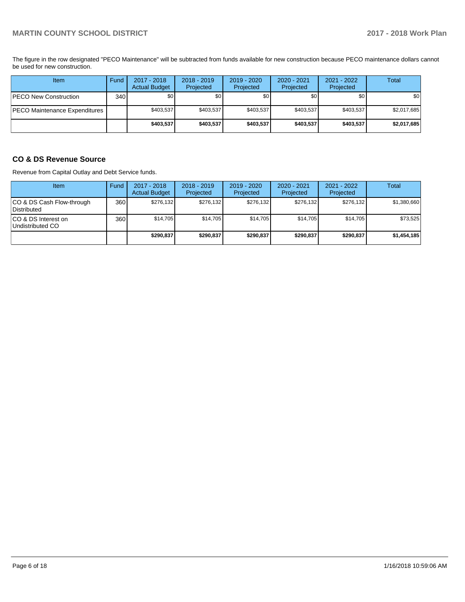The figure in the row designated "PECO Maintenance" will be subtracted from funds available for new construction because PECO maintenance dollars cannot be used for new construction.

| Item                          | Fund             | 2017 - 2018<br><b>Actual Budget</b> | $2018 - 2019$<br>Projected | 2019 - 2020<br>Projected | $2020 - 2021$<br>Projected | 2021 - 2022<br>Projected | Total       |
|-------------------------------|------------------|-------------------------------------|----------------------------|--------------------------|----------------------------|--------------------------|-------------|
| PECO New Construction         | 340 <sub>l</sub> | \$0                                 | \$0 <sub>1</sub>           | \$0                      | \$0                        | \$0                      | <b>\$01</b> |
| PECO Maintenance Expenditures |                  | \$403,537                           | \$403,537                  | \$403,537                | \$403.537                  | \$403,537                | \$2,017,685 |
|                               |                  | \$403,537                           | \$403,537                  | \$403,537                | \$403,537                  | \$403,537                | \$2,017,685 |

### **CO & DS Revenue Source**

Revenue from Capital Outlay and Debt Service funds.

| <b>Item</b>                               | Fund | $2017 - 2018$<br><b>Actual Budget</b> | $2018 - 2019$<br>Projected | 2019 - 2020<br>Projected | $2020 - 2021$<br>Projected | $2021 - 2022$<br>Projected | <b>Total</b> |
|-------------------------------------------|------|---------------------------------------|----------------------------|--------------------------|----------------------------|----------------------------|--------------|
| ICO & DS Cash Flow-through<br>Distributed | 360  | \$276.132                             | \$276.132                  | \$276.132                | \$276.132                  | \$276.132                  | \$1,380,660  |
| ICO & DS Interest on<br>Undistributed CO  | 360  | \$14,705                              | \$14.705                   | \$14.705                 | \$14,705                   | \$14,705                   | \$73,525     |
|                                           |      | \$290,837                             | \$290,837                  | \$290.837                | \$290,837                  | \$290.837                  | \$1,454,185  |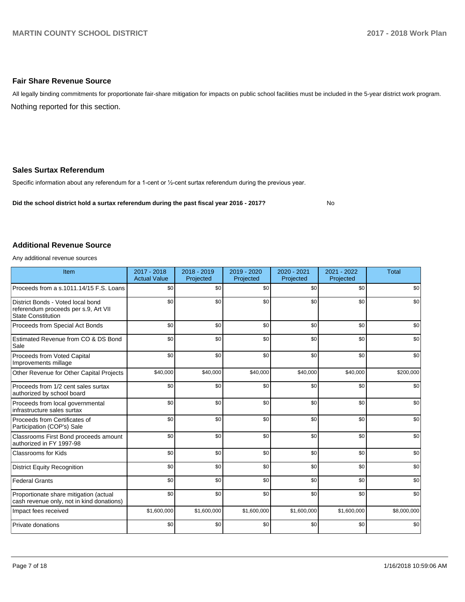#### **Fair Share Revenue Source**

Nothing reported for this section. All legally binding commitments for proportionate fair-share mitigation for impacts on public school facilities must be included in the 5-year district work program.

#### **Sales Surtax Referendum**

Specific information about any referendum for a 1-cent or 1/2-cent surtax referendum during the previous year.

**Did the school district hold a surtax referendum during the past fiscal year 2016 - 2017?**

No

#### **Additional Revenue Source**

Any additional revenue sources

| Item                                                                                                   | 2017 - 2018<br><b>Actual Value</b> | $2018 - 2019$<br>Projected | $2019 - 2020$<br>Projected | 2020 - 2021<br>Projected | 2021 - 2022<br>Projected | <b>Total</b> |
|--------------------------------------------------------------------------------------------------------|------------------------------------|----------------------------|----------------------------|--------------------------|--------------------------|--------------|
| Proceeds from a s.1011.14/15 F.S. Loans                                                                | \$0                                | \$0                        | \$0                        | \$0                      | \$0                      | \$0          |
| District Bonds - Voted local bond<br>referendum proceeds per s.9, Art VII<br><b>State Constitution</b> | \$0                                | \$0                        | \$0                        | \$0                      | \$0                      | \$0          |
| Proceeds from Special Act Bonds                                                                        | \$0                                | \$0                        | \$0                        | \$0                      | \$0                      | \$0          |
| Estimated Revenue from CO & DS Bond<br>Sale                                                            | \$0                                | \$0                        | \$0                        | \$0                      | \$0                      | \$0          |
| Proceeds from Voted Capital<br>Improvements millage                                                    | \$0                                | \$0                        | \$0                        | \$0                      | \$0                      | \$0          |
| Other Revenue for Other Capital Projects                                                               | \$40,000                           | \$40,000                   | \$40,000                   | \$40,000                 | \$40,000                 | \$200,000    |
| Proceeds from 1/2 cent sales surtax<br>authorized by school board                                      | \$0                                | \$0                        | \$0                        | \$0                      | \$0                      | \$0          |
| Proceeds from local governmental<br>infrastructure sales surtax                                        | \$0                                | \$0                        | \$0                        | \$0                      | \$0                      | \$0          |
| Proceeds from Certificates of<br>Participation (COP's) Sale                                            | \$0                                | \$0                        | \$0                        | \$0                      | \$0                      | \$0          |
| Classrooms First Bond proceeds amount<br>authorized in FY 1997-98                                      | \$0                                | \$0                        | \$0                        | \$0                      | \$0                      | \$0          |
| <b>Classrooms for Kids</b>                                                                             | \$0                                | \$0                        | \$0                        | \$0                      | \$0                      | \$0          |
| <b>District Equity Recognition</b>                                                                     | \$0                                | \$0                        | \$0                        | \$0                      | \$0                      | \$0          |
| <b>Federal Grants</b>                                                                                  | \$0                                | \$0                        | \$0                        | \$0                      | \$0                      | \$0          |
| Proportionate share mitigation (actual<br>cash revenue only, not in kind donations)                    | \$0                                | \$0                        | \$0                        | \$0                      | \$0                      | \$0          |
| Impact fees received                                                                                   | \$1,600,000                        | \$1,600,000                | \$1,600,000                | \$1,600,000              | \$1,600,000              | \$8,000,000  |
| Private donations                                                                                      | \$0                                | \$0                        | \$0                        | \$0                      | \$0                      | \$0          |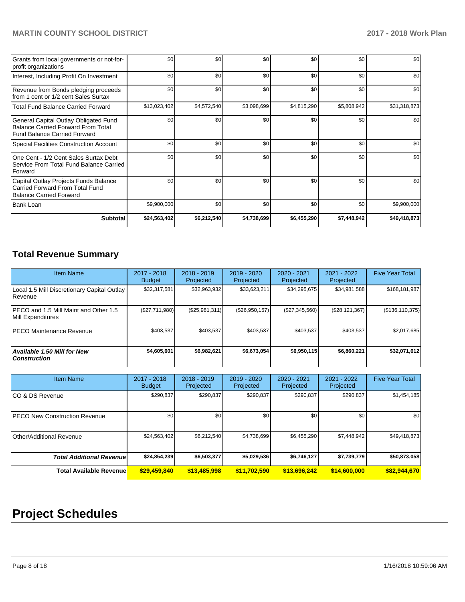### **MARTIN COUNTY SCHOOL DISTRICT 2017 - 2018 Work Plan**

| Grants from local governments or not-for-<br>profit organizations                                                         | \$0          | \$0 <sub>1</sub> | \$0         | \$0         | \$0         | \$0          |
|---------------------------------------------------------------------------------------------------------------------------|--------------|------------------|-------------|-------------|-------------|--------------|
| Interest, Including Profit On Investment                                                                                  | \$0          | \$0 <sub>1</sub> | \$0         | \$0         | \$0         | \$0          |
| Revenue from Bonds pledging proceeds<br>from 1 cent or 1/2 cent Sales Surtax                                              | \$0          | \$0              | \$0         | \$0         | \$0         | \$0          |
| <b>Total Fund Balance Carried Forward</b>                                                                                 | \$13,023,402 | \$4,572,540      | \$3,098,699 | \$4,815,290 | \$5,808,942 | \$31,318,873 |
| General Capital Outlay Obligated Fund<br><b>Balance Carried Forward From Total</b><br><b>Fund Balance Carried Forward</b> | \$0          | \$0              | \$0         | \$0         | \$0         | \$0          |
| Special Facilities Construction Account                                                                                   | \$0          | \$0 <sub>1</sub> | \$0         | \$0         | \$0         | \$0          |
| One Cent - 1/2 Cent Sales Surtax Debt<br>Service From Total Fund Balance Carried<br>Forward                               | \$0          | \$0              | \$0         | \$0         | \$0         | \$0          |
| Capital Outlay Projects Funds Balance<br>Carried Forward From Total Fund<br><b>Balance Carried Forward</b>                | \$0          | \$0              | \$0         | \$0         | \$0         | \$0          |
| Bank Loan                                                                                                                 | \$9,900,000  | \$0              | \$0         | \$0         | \$0         | \$9,900,000  |
| <b>Subtotal</b>                                                                                                           | \$24,563,402 | \$6,212,540      | \$4,738,699 | \$6,455,290 | \$7,448,942 | \$49,418,873 |

# **Total Revenue Summary**

| Item Name                                                     | $2017 - 2018$<br><b>Budget</b> | $2018 - 2019$<br>Projected | $2019 - 2020$<br>Projected | $2020 - 2021$<br>Projected | $2021 - 2022$<br>Projected | <b>Five Year Total</b> |
|---------------------------------------------------------------|--------------------------------|----------------------------|----------------------------|----------------------------|----------------------------|------------------------|
| Local 1.5 Mill Discretionary Capital Outlay<br><b>Revenue</b> | \$32,317,581                   | \$32,963,932               | \$33,623,211               | \$34,295,675               | \$34,981,588               | \$168,181,987          |
| PECO and 1.5 Mill Maint and Other 1.5<br>Mill Expenditures    | (\$27,711,980)                 | (S25, 981, 311)            | (\$26,950,157)             | (\$27,345,560)             | (\$28,121,367)             | (\$136, 110, 375)      |
| PECO Maintenance Revenue                                      | \$403,537                      | \$403,537                  | \$403.537                  | \$403,537                  | \$403,537                  | \$2,017,685            |
| <b>Available 1.50 Mill for New</b><br>  Construction          | \$4,605,601                    | \$6,982,621                | \$6,673,054                | \$6,950,115                | \$6,860,221                | \$32,071,612           |

| <b>Item Name</b>                | 2017 - 2018<br><b>Budget</b> | $2018 - 2019$<br>Projected | $2019 - 2020$<br>Projected | 2020 - 2021<br>Projected | 2021 - 2022<br>Projected | <b>Five Year Total</b> |
|---------------------------------|------------------------------|----------------------------|----------------------------|--------------------------|--------------------------|------------------------|
| ICO & DS Revenue                | \$290,837                    | \$290,837                  | \$290,837                  | \$290,837                | \$290,837                | \$1,454,185            |
| PECO New Construction Revenue   | \$0                          | \$0                        | \$0                        | \$0                      | \$0                      | \$0                    |
| Other/Additional Revenue        | \$24,563,402                 | \$6,212,540                | \$4,738,699                | \$6,455,290              | \$7,448,942              | \$49,418,873           |
| <b>Total Additional Revenue</b> | \$24,854,239                 | \$6,503,377                | \$5,029,536                | \$6,746,127              | \$7,739,779              | \$50,873,058           |
| <b>Total Available Revenue</b>  | \$29,459,840                 | \$13,485,998               | \$11,702,590               | \$13,696,242             | \$14,600,000             | \$82,944,670           |

# **Project Schedules**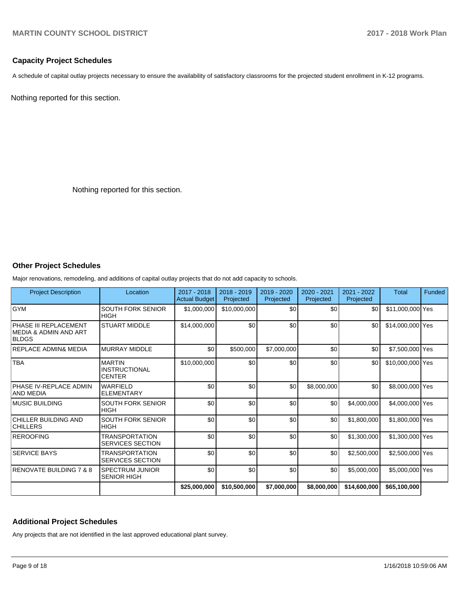#### **Capacity Project Schedules**

A schedule of capital outlay projects necessary to ensure the availability of satisfactory classrooms for the projected student enrollment in K-12 programs.

Nothing reported for this section.

Nothing reported for this section.

#### **Other Project Schedules**

Major renovations, remodeling, and additions of capital outlay projects that do not add capacity to schools.

| <b>Project Description</b>                                      | Location                                               | 2017 - 2018<br>Actual Budget | 2018 - 2019<br>Projected | 2019 - 2020<br>Projected | $2020 - 2021$<br>Projected | 2021 - 2022<br>Projected | <b>Total</b>     | Funded |
|-----------------------------------------------------------------|--------------------------------------------------------|------------------------------|--------------------------|--------------------------|----------------------------|--------------------------|------------------|--------|
| <b>GYM</b>                                                      | <b>SOUTH FORK SENIOR</b><br><b>HIGH</b>                | \$1,000,000                  | \$10,000,000             | \$0                      | \$0                        | \$0                      | \$11,000,000 Yes |        |
| PHASE III REPLACEMENT<br>IMEDIA & ADMIN AND ART<br><b>BLDGS</b> | <b>STUART MIDDLE</b>                                   | \$14,000,000                 | \$0                      | \$0                      | \$0                        | \$0                      | \$14,000,000 Yes |        |
| <b>REPLACE ADMIN&amp; MEDIA</b>                                 | <b>MURRAY MIDDLE</b>                                   | \$0                          | \$500,000                | \$7,000,000              | \$0                        | \$0                      | \$7,500,000 Yes  |        |
| <b>TBA</b>                                                      | <b>MARTIN</b><br><b>INSTRUCTIONAL</b><br><b>CENTER</b> | \$10,000,000                 | \$0                      | \$0                      | \$0                        | \$0                      | \$10,000,000 Yes |        |
| <b>PHASE IV-REPLACE ADMIN</b><br>IAND MEDIA                     | <b>WARFIELD</b><br><b>ELEMENTARY</b>                   | \$0                          | \$0                      | \$0                      | \$8,000,000                | \$0                      | \$8,000,000 Yes  |        |
| MUSIC BUILDING                                                  | <b>SOUTH FORK SENIOR</b><br><b>HIGH</b>                | \$0                          | \$0                      | \$0                      | \$0                        | \$4,000,000              | \$4,000,000 Yes  |        |
| CHILLER BUILDING AND<br><b>CHILLERS</b>                         | <b>SOUTH FORK SENIOR</b><br><b>HIGH</b>                | \$0                          | \$0                      | \$0                      | \$0                        | \$1,800,000              | \$1,800,000 Yes  |        |
| <b>REROOFING</b>                                                | <b>TRANSPORTATION</b><br><b>SERVICES SECTION</b>       | \$0                          | \$0                      | \$0                      | \$0                        | \$1,300,000              | \$1,300,000 Yes  |        |
| <b>SERVICE BAYS</b>                                             | <b>TRANSPORTATION</b><br><b>SERVICES SECTION</b>       | \$0                          | \$0                      | \$0                      | \$0                        | \$2,500,000              | \$2,500,000 Yes  |        |
| <b>RENOVATE BUILDING 7 &amp; 8</b>                              | <b>SPECTRUM JUNIOR</b><br><b>SENIOR HIGH</b>           | \$0                          | \$0                      | \$0                      | \$0                        | \$5,000,000              | \$5,000,000 Yes  |        |
|                                                                 |                                                        | \$25,000,000                 | \$10,500,000             | \$7,000,000              | \$8,000,000                | \$14,600,000             | \$65,100,000     |        |

#### **Additional Project Schedules**

Any projects that are not identified in the last approved educational plant survey.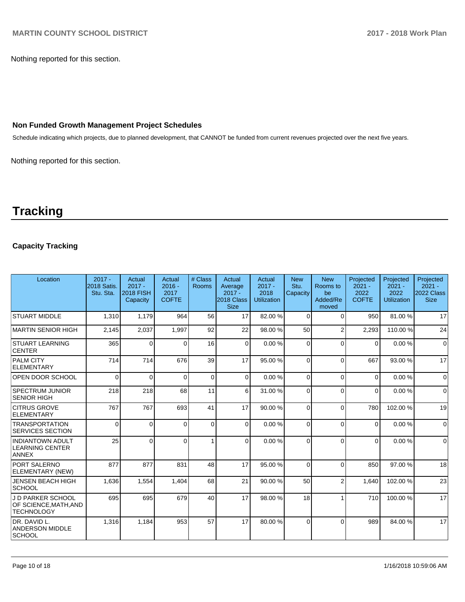Nothing reported for this section.

#### **Non Funded Growth Management Project Schedules**

Schedule indicating which projects, due to planned development, that CANNOT be funded from current revenues projected over the next five years.

Nothing reported for this section.

# **Tracking**

## **Capacity Tracking**

| Location                                                          | $2017 -$<br><b>2018 Satis.</b><br>Stu. Sta. | Actual<br>$2017 -$<br><b>2018 FISH</b><br>Capacity | Actual<br>$2016 -$<br>2017<br><b>COFTE</b> | # Class<br><b>Rooms</b> | Actual<br>Average<br>$2017 -$<br>2018 Class<br><b>Size</b> | Actual<br>$2017 -$<br>2018<br><b>Utilization</b> | <b>New</b><br>Stu.<br>Capacity | <b>New</b><br>Rooms to<br>be<br>Added/Re<br>moved | Projected<br>$2021 -$<br>2022<br><b>COFTE</b> | Projected<br>$2021 -$<br>2022<br><b>Utilization</b> | Projected<br>$2021 -$<br>2022 Class<br><b>Size</b> |
|-------------------------------------------------------------------|---------------------------------------------|----------------------------------------------------|--------------------------------------------|-------------------------|------------------------------------------------------------|--------------------------------------------------|--------------------------------|---------------------------------------------------|-----------------------------------------------|-----------------------------------------------------|----------------------------------------------------|
| <b>STUART MIDDLE</b>                                              | 1,310                                       | 1,179                                              | 964                                        | 56                      | 17                                                         | 82.00%                                           | $\Omega$                       | $\Omega$                                          | 950                                           | 81.00%                                              | 17                                                 |
| MARTIN SENIOR HIGH                                                | 2,145                                       | 2,037                                              | 1,997                                      | 92                      | 22                                                         | 98.00 %                                          | 50                             | $\overline{2}$                                    | 2.293                                         | 110.00%                                             | 24                                                 |
| <b>STUART LEARNING</b><br><b>CENTER</b>                           | 365                                         | $\Omega$                                           | $\Omega$                                   | 16                      | $\Omega$                                                   | 0.00%                                            | $\Omega$                       | $\Omega$                                          | $\Omega$                                      | 0.00%                                               | $\Omega$                                           |
| <b>PALM CITY</b><br><b>ELEMENTARY</b>                             | 714                                         | 714                                                | 676                                        | 39                      | 17                                                         | 95.00 %                                          | $\Omega$                       | $\Omega$                                          | 667                                           | 93.00 %                                             | 17                                                 |
| <b>OPEN DOOR SCHOOL</b>                                           | $\Omega$                                    | $\Omega$                                           | $\Omega$                                   | $\Omega$                | $\Omega$                                                   | 0.00%                                            | $\Omega$                       | $\Omega$                                          | $\Omega$                                      | 0.00%                                               | $\Omega$                                           |
| <b>SPECTRUM JUNIOR</b><br><b>SENIOR HIGH</b>                      | 218                                         | 218                                                | 68                                         | 11                      | 6                                                          | 31.00 %                                          | $\Omega$                       | $\Omega$                                          | $\Omega$                                      | 0.00%                                               | $\Omega$                                           |
| <b>CITRUS GROVE</b><br><b>ELEMENTARY</b>                          | 767                                         | 767                                                | 693                                        | 41                      | 17                                                         | 90.00%                                           | $\Omega$                       | $\Omega$                                          | 780                                           | 102.00%                                             | 19                                                 |
| <b>TRANSPORTATION</b><br><b>SERVICES SECTION</b>                  | 0                                           | $\Omega$                                           | $\Omega$                                   | $\Omega$                | $\Omega$                                                   | 0.00%                                            | $\Omega$                       | $\Omega$                                          | $\Omega$                                      | 0.00%                                               | $\Omega$                                           |
| <b>INDIANTOWN ADULT</b><br><b>LEARNING CENTER</b><br><b>ANNEX</b> | 25                                          | $\Omega$                                           | $\Omega$                                   | $\mathbf{1}$            | $\Omega$                                                   | 0.00%                                            | $\Omega$                       | $\Omega$                                          | $\Omega$                                      | 0.00%                                               | $\mathbf 0$                                        |
| PORT SALERNO<br>ELEMENTARY (NEW)                                  | 877                                         | 877                                                | 831                                        | 48                      | 17                                                         | 95.00 %                                          | $\Omega$                       | $\Omega$                                          | 850                                           | 97.00 %                                             | 18                                                 |
| <b>JENSEN BEACH HIGH</b><br><b>SCHOOL</b>                         | 1,636                                       | 1,554                                              | 1,404                                      | 68                      | 21                                                         | 90.00 %                                          | 50                             | $\overline{2}$                                    | 1,640                                         | 102.00%                                             | 23                                                 |
| J D PARKER SCHOOL<br>OF SCIENCE,MATH,AND<br><b>TECHNOLOGY</b>     | 695                                         | 695                                                | 679                                        | 40                      | 17                                                         | 98.00 %                                          | 18                             |                                                   | 710                                           | 100.00%                                             | 17                                                 |
| IDR. DAVID L.<br><b>ANDERSON MIDDLE</b><br><b>SCHOOL</b>          | 1,316                                       | 1,184                                              | 953                                        | 57                      | 17                                                         | 80.00 %                                          | $\Omega$                       | $\Omega$                                          | 989                                           | 84.00 %                                             | 17                                                 |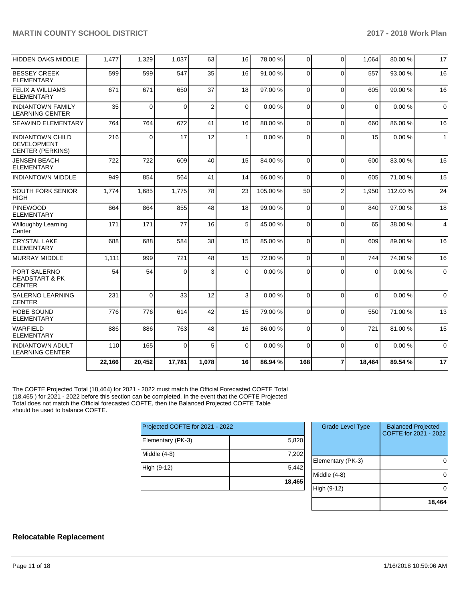### **MARTIN COUNTY SCHOOL DISTRICT 2017 - 2018 Work Plan**

| <b>HIDDEN OAKS MIDDLE</b>                                                | 1.477  | 1,329    | 1,037    | 63             | 16 | 78.00 % | 0        | $\Omega$       | 1.064       | 80.00%   | 17             |
|--------------------------------------------------------------------------|--------|----------|----------|----------------|----|---------|----------|----------------|-------------|----------|----------------|
| <b>BESSEY CREEK</b><br><b>ELEMENTARY</b>                                 | 599    | 599      | 547      | 35             | 16 | 91.00 % | 0        | $\Omega$       | 557         | 93.00 %  | 16             |
| <b>FELIX A WILLIAMS</b><br>ELEMENTARY                                    | 671    | 671      | 650      | 37             | 18 | 97.00 % | 0        | $\Omega$       | 605         | 90.00 %  | 16             |
| <b>INDIANTOWN FAMILY</b><br><b>LEARNING CENTER</b>                       | 35     | $\Omega$ | 0        | $\overline{2}$ | 0  | 0.00%   | 0        | $\Omega$       | $\mathbf 0$ | 0.00%    | $\mathbf 0$    |
| <b>SEAWIND ELEMENTARY</b>                                                | 764    | 764      | 672      | 41             | 16 | 88.00 % | 0        | $\Omega$       | 660         | 86.00 %  | 16             |
| <b>INDIANTOWN CHILD</b><br><b>DEVELOPMENT</b><br><b>CENTER (PERKINS)</b> | 216    | $\Omega$ | 17       | 12             | 1  | 0.00%   | 0        | $\Omega$       | 15          | 0.00%    | $\overline{1}$ |
| <b>JENSEN BEACH</b><br><b>ELEMENTARY</b>                                 | 722    | 722      | 609      | 40             | 15 | 84.00%  | $\Omega$ | $\Omega$       | 600         | 83.00 %  | 15             |
| <b>INDIANTOWN MIDDLE</b>                                                 | 949    | 854      | 564      | 41             | 14 | 66.00 % | $\Omega$ | $\Omega$       | 605         | 71.00 %  | 15             |
| <b>SOUTH FORK SENIOR</b><br><b>HIGH</b>                                  | 1,774  | 1,685    | 1,775    | 78             | 23 | 105.00% | 50       | $\overline{2}$ | 1,950       | 112.00 % | 24             |
| <b>PINEWOOD</b><br><b>ELEMENTARY</b>                                     | 864    | 864      | 855      | 48             | 18 | 99.00 % | 0        | $\Omega$       | 840         | 97.00 %  | 18             |
| <b>Willoughby Learning</b><br>Center                                     | 171    | 171      | 77       | 16             | 5  | 45.00 % | 0        | $\Omega$       | 65          | 38.00 %  | 4              |
| <b>CRYSTAL LAKE</b><br><b>ELEMENTARY</b>                                 | 688    | 688      | 584      | 38             | 15 | 85.00 % | 0        | $\Omega$       | 609         | 89.00 %  | 16             |
| <b>MURRAY MIDDLE</b>                                                     | 1,111  | 999      | 721      | 48             | 15 | 72.00 % | 0        | $\Omega$       | 744         | 74.00 %  | 16             |
| PORT SALERNO<br><b>HEADSTART &amp; PK</b><br><b>CENTER</b>               | 54     | 54       | $\Omega$ | 3              | 0  | 0.00%   | 0        | $\Omega$       | $\Omega$    | 0.00%    | $\mathbf 0$    |
| <b>SALERNO LEARNING</b><br><b>CENTER</b>                                 | 231    | 0        | 33       | 12             | 3  | 0.00%   | 0        | $\Omega$       | $\Omega$    | 0.00%    | $\mathbf 0$    |
| <b>HOBE SOUND</b><br>ELEMENTARY                                          | 776    | 776      | 614      | 42             | 15 | 79.00 % | 0        | $\Omega$       | 550         | 71.00 %  | 13             |
| <b>WARFIELD</b><br>ELEMENTARY                                            | 886    | 886      | 763      | 48             | 16 | 86.00 % | 0        | $\Omega$       | 721         | 81.00%   | 15             |
| <b>INDIANTOWN ADULT</b><br><b>LEARNING CENTER</b>                        | 110    | 165      | $\Omega$ | 5              | 0  | 0.00%   | 0        | $\Omega$       | $\Omega$    | 0.00%    | $\Omega$       |
|                                                                          | 22,166 | 20,452   | 17,781   | 1,078          | 16 | 86.94 % | 168      | $\overline{7}$ | 18,464      | 89.54 %  | 17             |

The COFTE Projected Total (18,464) for 2021 - 2022 must match the Official Forecasted COFTE Total (18,465 ) for 2021 - 2022 before this section can be completed. In the event that the COFTE Projected Total does not match the Official forecasted COFTE, then the Balanced Projected COFTE Table should be used to balance COFTE.

| Projected COFTE for 2021 - 2022 |        |  |  |  |  |  |
|---------------------------------|--------|--|--|--|--|--|
| Elementary (PK-3)               | 5,820  |  |  |  |  |  |
| Middle (4-8)                    | 7,202  |  |  |  |  |  |
| High (9-12)                     | 5,442  |  |  |  |  |  |
|                                 | 18,465 |  |  |  |  |  |

| <b>Grade Level Type</b> | <b>Balanced Projected</b><br>COFTE for 2021 - 2022 |
|-------------------------|----------------------------------------------------|
| Elementary (PK-3)       |                                                    |
| Middle (4-8)            |                                                    |
| High (9-12)             |                                                    |
|                         | 18,464                                             |

#### **Relocatable Replacement**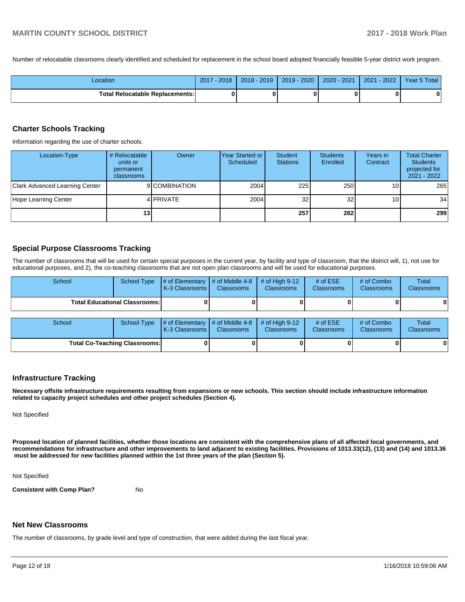Number of relocatable classrooms clearly identified and scheduled for replacement in the school board adopted financially feasible 5-year district work program.

| Location                               | 2017<br>$-2018$ | 2018 - 2019 | $2019 - 2020$ | 2020 - 2021 | $-2022$<br>2021 | Year 5 Total |
|----------------------------------------|-----------------|-------------|---------------|-------------|-----------------|--------------|
| <b>Total Relocatable Replacements:</b> |                 |             |               |             |                 | n            |

#### **Charter Schools Tracking**

Information regarding the use of charter schools.

| Location-Type                  | # Relocatable<br>units or<br>permanent<br>classrooms | Owner         | Year Started or I<br>Scheduled | Student<br><b>Stations</b> | <b>Students</b><br>Enrolled | Years in<br>Contract | <b>Total Charter</b><br><b>Students</b><br>projected for<br>$2021 - 2022$ |
|--------------------------------|------------------------------------------------------|---------------|--------------------------------|----------------------------|-----------------------------|----------------------|---------------------------------------------------------------------------|
| Clark Advanced Learning Center |                                                      | 9 COMBINATION | 2004                           | 225                        | 250 <sup>1</sup>            | 101                  | 265                                                                       |
| Hope Learning Center           |                                                      | 4 PRIVATE     | 2004                           | 32                         | 32                          | 10 <sup>1</sup>      | 34                                                                        |
|                                | 13 <sub>1</sub>                                      |               |                                | 257                        | 282                         |                      | 299                                                                       |

#### **Special Purpose Classrooms Tracking**

The number of classrooms that will be used for certain special purposes in the current year, by facility and type of classroom, that the district will, 1), not use for educational purposes, and 2), the co-teaching classrooms that are not open plan classrooms and will be used for educational purposes.

| School                               | <b>School Type</b>                   | # of Elementary<br>K-3 Classrooms I | $#$ of Middle 4-8<br><b>Classrooms</b> | # of High $9-12$<br><b>Classrooms</b> | # of $ESE$<br><b>Classrooms</b> | # of Combo<br>Classrooms | <b>Total</b><br><b>Classrooms</b> |
|--------------------------------------|--------------------------------------|-------------------------------------|----------------------------------------|---------------------------------------|---------------------------------|--------------------------|-----------------------------------|
| <b>Total Educational Classrooms:</b> |                                      |                                     |                                        |                                       |                                 |                          |                                   |
| School                               | <b>School Type</b>                   | # of Elementary<br>K-3 Classrooms   | # of Middle 4-8<br><b>Classrooms</b>   | # of High $9-12$<br><b>Classrooms</b> | # of $ESE$<br><b>Classrooms</b> | # of Combo<br>Classrooms | Total<br>Classrooms               |
|                                      | <b>Total Co-Teaching Classrooms:</b> |                                     |                                        |                                       |                                 |                          | 0                                 |

#### **Infrastructure Tracking**

**Necessary offsite infrastructure requirements resulting from expansions or new schools. This section should include infrastructure information related to capacity project schedules and other project schedules (Section 4).** 

Not Specified

**Proposed location of planned facilities, whether those locations are consistent with the comprehensive plans of all affected local governments, and recommendations for infrastructure and other improvements to land adjacent to existing facilities. Provisions of 1013.33(12), (13) and (14) and 1013.36** must be addressed for new facilities planned within the 1st three years of the plan (Section 5).

Not Specified

**Consistent with Comp Plan?** No

#### **Net New Classrooms**

The number of classrooms, by grade level and type of construction, that were added during the last fiscal year.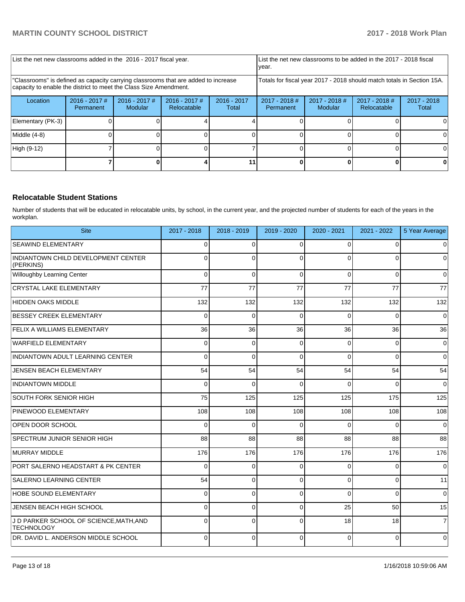| List the net new classrooms added in the 2016 - 2017 fiscal year.                                                                                       | List the net new classrooms to be added in the 2017 - 2018 fiscal<br>year. |                                   |                              |                        |                                                                        |                            |                                |                      |
|---------------------------------------------------------------------------------------------------------------------------------------------------------|----------------------------------------------------------------------------|-----------------------------------|------------------------------|------------------------|------------------------------------------------------------------------|----------------------------|--------------------------------|----------------------|
| "Classrooms" is defined as capacity carrying classrooms that are added to increase<br>capacity to enable the district to meet the Class Size Amendment. |                                                                            |                                   |                              |                        | Totals for fiscal year 2017 - 2018 should match totals in Section 15A. |                            |                                |                      |
| Location                                                                                                                                                | $2016 - 2017$ #<br>Permanent                                               | $2016 - 2017$ #<br><b>Modular</b> | 2016 - 2017 #<br>Relocatable | $2016 - 2017$<br>Total | $2017 - 2018$ #<br>Permanent                                           | $2017 - 2018$ #<br>Modular | $2017 - 2018$ #<br>Relocatable | 2017 - 2018<br>Total |
| Elementary (PK-3)                                                                                                                                       |                                                                            |                                   |                              |                        |                                                                        |                            |                                |                      |
| Middle (4-8)                                                                                                                                            |                                                                            |                                   |                              |                        |                                                                        |                            |                                |                      |
| High (9-12)                                                                                                                                             |                                                                            |                                   |                              |                        |                                                                        |                            |                                | ΩI                   |
|                                                                                                                                                         |                                                                            |                                   |                              |                        |                                                                        |                            |                                |                      |

### **Relocatable Student Stations**

Number of students that will be educated in relocatable units, by school, in the current year, and the projected number of students for each of the years in the workplan.

| <b>Site</b>                                                  | 2017 - 2018 | 2018 - 2019 | 2019 - 2020 | 2020 - 2021 | 2021 - 2022 | 5 Year Average |
|--------------------------------------------------------------|-------------|-------------|-------------|-------------|-------------|----------------|
| <b>SEAWIND ELEMENTARY</b>                                    | $\Omega$    | $\Omega$    | $\Omega$    | $\Omega$    | $\Omega$    | $\overline{0}$ |
| INDIANTOWN CHILD DEVELOPMENT CENTER<br>(PERKINS)             | 0           | $\Omega$    | $\Omega$    | $\Omega$    | 0           | $\overline{0}$ |
| Willoughby Learning Center                                   | $\Omega$    | $\Omega$    | $\Omega$    | $\Omega$    | $\Omega$    | $\overline{0}$ |
| CRYSTAL LAKE ELEMENTARY                                      | 77          | 77          | 77          | 77          | 77          | 77             |
| HIDDEN OAKS MIDDLE                                           | 132         | 132         | 132         | 132         | 132         | 132            |
| <b>BESSEY CREEK ELEMENTARY</b>                               | $\Omega$    | $\Omega$    | $\Omega$    | $\Omega$    | $\Omega$    | $\Omega$       |
| <b>FELIX A WILLIAMS ELEMENTARY</b>                           | 36          | 36          | 36          | 36          | 36          | 36             |
| WARFIELD ELEMENTARY                                          | 0           | $\Omega$    | $\Omega$    | $\Omega$    | $\Omega$    | $\overline{0}$ |
| INDIANTOWN ADULT LEARNING CENTER                             | $\Omega$    | $\Omega$    | $\Omega$    | $\Omega$    | $\Omega$    | $\Omega$       |
| JENSEN BEACH ELEMENTARY                                      | 54          | 54          | 54          | 54          | 54          | 54             |
| <b>INDIANTOWN MIDDLE</b>                                     | $\Omega$    | $\Omega$    | $\Omega$    | $\Omega$    | $\Omega$    | $\overline{0}$ |
| SOUTH FORK SENIOR HIGH                                       | 75          | 125         | 125         | 125         | 175         | 125            |
| <b>PINEWOOD ELEMENTARY</b>                                   | 108         | 108         | 108         | 108         | 108         | 108            |
| OPEN DOOR SCHOOL                                             | 0           | $\Omega$    | $\Omega$    | $\Omega$    | $\Omega$    | $\overline{0}$ |
| SPECTRUM JUNIOR SENIOR HIGH                                  | 88          | 88          | 88          | 88          | 88          | 88             |
| MURRAY MIDDLE                                                | 176         | 176         | 176         | 176         | 176         | 176            |
| <b>PORT SALERNO HEADSTART &amp; PK CENTER</b>                | 0           | $\mathbf 0$ | $\Omega$    | $\Omega$    | $\Omega$    | $\overline{0}$ |
| <b>SALERNO LEARNING CENTER</b>                               | 54          | $\Omega$    | $\Omega$    | $\Omega$    | $\Omega$    | 11             |
| HOBE SOUND ELEMENTARY                                        | 0           | 0           | $\Omega$    | $\Omega$    | $\Omega$    | $\overline{0}$ |
| JENSEN BEACH HIGH SCHOOL                                     | $\Omega$    | $\Omega$    | $\Omega$    | 25          | 50          | 15             |
| J D PARKER SCHOOL OF SCIENCE, MATH, AND<br><b>TECHNOLOGY</b> | $\Omega$    | $\Omega$    | $\Omega$    | 18          | 18          | $\overline{7}$ |
| DR. DAVID L. ANDERSON MIDDLE SCHOOL                          | 0           | $\Omega$    | $\Omega$    | $\Omega$    | $\Omega$    | $\overline{0}$ |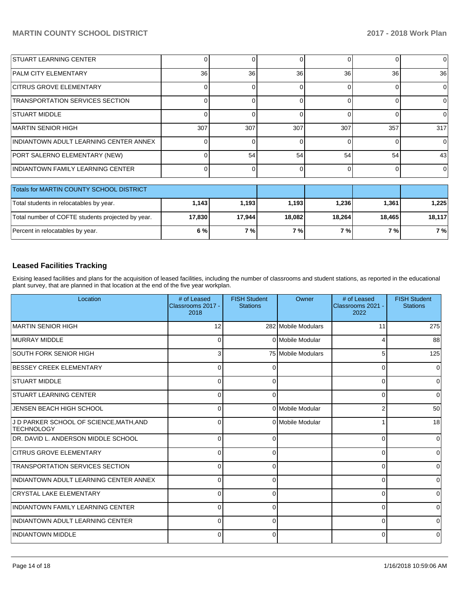| <b>STUART LEARNING CENTER</b>                     |        | ი      |        | 01       |        | $\Omega$ |
|---------------------------------------------------|--------|--------|--------|----------|--------|----------|
| <b>PALM CITY ELEMENTARY</b>                       | 36     | 36     | 36     | 36       | 36     | 36       |
| <b>CITRUS GROVE ELEMENTARY</b>                    |        | n      |        | $\Omega$ | በ      | $\Omega$ |
| <b>TRANSPORTATION SERVICES SECTION</b>            |        | ∩      |        | ΩI       |        | 0        |
| <b>STUART MIDDLE</b>                              |        | ∩      |        | ΩI       |        | $\Omega$ |
| MARTIN SENIOR HIGH                                | 307    | 307    | 307    | 307      | 357    | 317      |
| INDIANTOWN ADULT LEARNING CENTER ANNEX            |        | ∩      |        | $\Omega$ |        | $\Omega$ |
| PORT SALERNO ELEMENTARY (NEW)                     |        | 54     | 54     | 54       | 54     | 43       |
| <b>INDIANTOWN FAMILY LEARNING CENTER</b>          |        | 0      | O      | $\Omega$ | 0      | $\Omega$ |
| <b>Totals for MARTIN COUNTY SCHOOL DISTRICT</b>   |        |        |        |          |        |          |
| Total students in relocatables by year.           | 1,143  | 1,193  | 1,193  | 1,236    | 1,361  | 1,225    |
| Total number of COFTE students projected by year. | 17,830 | 17,944 | 18,082 | 18,264   | 18,465 | 18,117   |

### **Leased Facilities Tracking**

Exising leased facilities and plans for the acquisition of leased facilities, including the number of classrooms and student stations, as reported in the educational plant survey, that are planned in that location at the end of the five year workplan.

Percent in relocatables by year. **6 % 7 % 7 % 7 % 7 % 7 %**

| Location                                                     | # of Leased<br>Classrooms 2017 -<br>2018 | <b>FISH Student</b><br><b>Stations</b> | Owner               | # of Leased<br>Classrooms 2021 -<br>2022 | <b>FISH Student</b><br><b>Stations</b> |
|--------------------------------------------------------------|------------------------------------------|----------------------------------------|---------------------|------------------------------------------|----------------------------------------|
| MARTIN SENIOR HIGH                                           | 12                                       |                                        | 282 Mobile Modulars | 11                                       | 275                                    |
| <b>MURRAY MIDDLE</b>                                         | $\Omega$                                 |                                        | 0 Mobile Modular    | 4                                        | 88                                     |
| ISOUTH FORK SENIOR HIGH                                      | 3                                        |                                        | 75 Mobile Modulars  | 5                                        | 125                                    |
| BESSEY CREEK ELEMENTARY                                      | 0                                        | 0                                      |                     | 0                                        | 0                                      |
| <b>STUART MIDDLE</b>                                         | $\Omega$                                 | 0                                      |                     | 0                                        | 0                                      |
| <b>STUART LEARNING CENTER</b>                                | $\Omega$                                 | 0                                      |                     | 0                                        | 0                                      |
| JENSEN BEACH HIGH SCHOOL                                     | $\Omega$                                 |                                        | 0 Mobile Modular    | 2                                        | 50 <sub>1</sub>                        |
| J D PARKER SCHOOL OF SCIENCE, MATH, AND<br><b>TECHNOLOGY</b> | $\Omega$                                 |                                        | 0 Mobile Modular    |                                          | 18                                     |
| DR. DAVID L. ANDERSON MIDDLE SCHOOL                          | $\Omega$                                 | 0                                      |                     | $\Omega$                                 | 0                                      |
| <b>CITRUS GROVE ELEMENTARY</b>                               | C                                        | 0                                      |                     | 0                                        | 0                                      |
| <b>TRANSPORTATION SERVICES SECTION</b>                       | C                                        | 0                                      |                     | 0                                        | 0                                      |
| INDIANTOWN ADULT LEARNING CENTER ANNEX                       | C                                        | 0                                      |                     | 0                                        | 0                                      |
| <b>CRYSTAL LAKE ELEMENTARY</b>                               | C                                        | $\Omega$                               |                     | 0                                        | 0                                      |
| <b>INDIANTOWN FAMILY LEARNING CENTER</b>                     | $\Omega$                                 | 0                                      |                     | $\Omega$                                 | 0                                      |
| INDIANTOWN ADULT LEARNING CENTER                             | $\Omega$                                 | 0                                      |                     | $\Omega$                                 | $\mathbf 0$                            |
| <b>INDIANTOWN MIDDLE</b>                                     | $\Omega$                                 | $\Omega$                               |                     | $\Omega$                                 | 0                                      |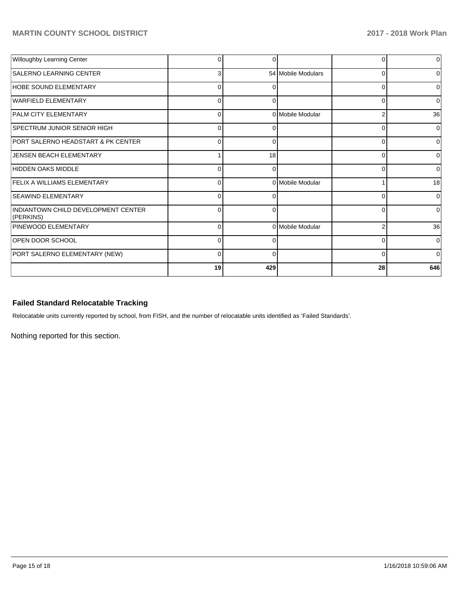| Willoughby Learning Center                       | O        | 0   |                    | 0              | $\Omega$     |
|--------------------------------------------------|----------|-----|--------------------|----------------|--------------|
| <b>SALERNO LEARNING CENTER</b>                   | 3        |     | 54 Mobile Modulars | $\Omega$       | U            |
| HOBE SOUND ELEMENTARY                            | $\Omega$ |     |                    | $\Omega$       |              |
| WARFIELD ELEMENTARY                              | 0        | 0   |                    | 0              | 0            |
| PALM CITY ELEMENTARY                             | 0        |     | 0 Mobile Modular   | $\overline{2}$ | 36           |
| <b>SPECTRUM JUNIOR SENIOR HIGH</b>               | $\Omega$ | O   |                    | 0              | $\Omega$     |
| PORT SALERNO HEADSTART & PK CENTER               | $\Omega$ |     |                    | $\Omega$       |              |
| JENSEN BEACH ELEMENTARY                          |          | 18  |                    | 0              | 0            |
| HIDDEN OAKS MIDDLE                               | $\Omega$ | O   |                    | $\Omega$       | <sup>0</sup> |
| <b>FELIX A WILLIAMS ELEMENTARY</b>               | $\Omega$ |     | 0 Mobile Modular   |                | 18           |
| <b>SEAWIND ELEMENTARY</b>                        | 0        | 0   |                    | $\Omega$       | $\Omega$     |
| INDIANTOWN CHILD DEVELOPMENT CENTER<br>(PERKINS) | $\Omega$ | 0   |                    | $\Omega$       | <sup>0</sup> |
| PINEWOOD ELEMENTARY                              | 0        |     | 0 Mobile Modular   | $\overline{2}$ | 36           |
| <b>OPEN DOOR SCHOOL</b>                          | $\Omega$ | n   |                    | $\Omega$       | $\Omega$     |
| PORT SALERNO ELEMENTARY (NEW)                    | $\Omega$ | n   |                    | $\Omega$       | $\Omega$     |
|                                                  | 19       | 429 |                    | 28             | 646          |

# **Failed Standard Relocatable Tracking**

Relocatable units currently reported by school, from FISH, and the number of relocatable units identified as 'Failed Standards'.

Nothing reported for this section.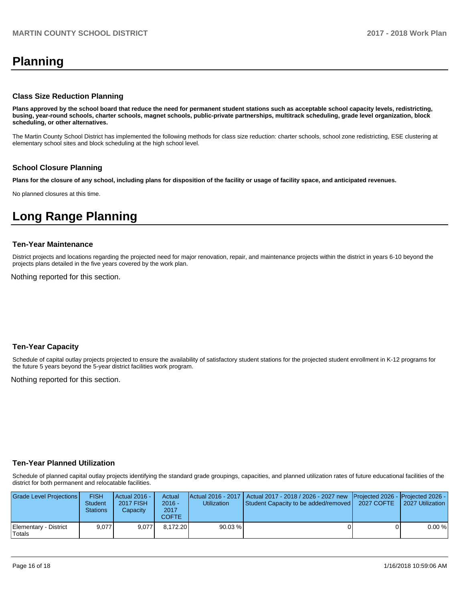# **Planning**

#### **Class Size Reduction Planning**

**Plans approved by the school board that reduce the need for permanent student stations such as acceptable school capacity levels, redistricting, busing, year-round schools, charter schools, magnet schools, public-private partnerships, multitrack scheduling, grade level organization, block scheduling, or other alternatives.**

The Martin County School District has implemented the following methods for class size reduction: charter schools, school zone redistricting, ESE clustering at elementary school sites and block scheduling at the high school level.

#### **School Closure Planning**

**Plans for the closure of any school, including plans for disposition of the facility or usage of facility space, and anticipated revenues.** 

No planned closures at this time.

# **Long Range Planning**

#### **Ten-Year Maintenance**

District projects and locations regarding the projected need for major renovation, repair, and maintenance projects within the district in years 6-10 beyond the projects plans detailed in the five years covered by the work plan.

Nothing reported for this section.

#### **Ten-Year Capacity**

Schedule of capital outlay projects projected to ensure the availability of satisfactory student stations for the projected student enrollment in K-12 programs for the future 5 years beyond the 5-year district facilities work program.

Nothing reported for this section.

#### **Ten-Year Planned Utilization**

Schedule of planned capital outlay projects identifying the standard grade groupings, capacities, and planned utilization rates of future educational facilities of the district for both permanent and relocatable facilities.

| Grade Level Projections         | <b>FISH</b><br><b>Student</b><br><b>Stations</b> | Actual 2016 -<br><b>2017 FISH</b><br>Capacity | Actual<br>$2016 -$<br>2017<br>COFTE | <b>Utilization</b> | Actual 2016 - 2017   Actual 2017 - 2018 / 2026 - 2027 new   Projected 2026 -   Projected 2026 -<br>Student Capacity to be added/removed   2027 COFTE | 12027 Utilization |
|---------------------------------|--------------------------------------------------|-----------------------------------------------|-------------------------------------|--------------------|------------------------------------------------------------------------------------------------------------------------------------------------------|-------------------|
| Elementary - District<br>Totals | 9.077                                            | 9.077                                         | 8.172.20                            | $90.03\%$          |                                                                                                                                                      | 0.00%             |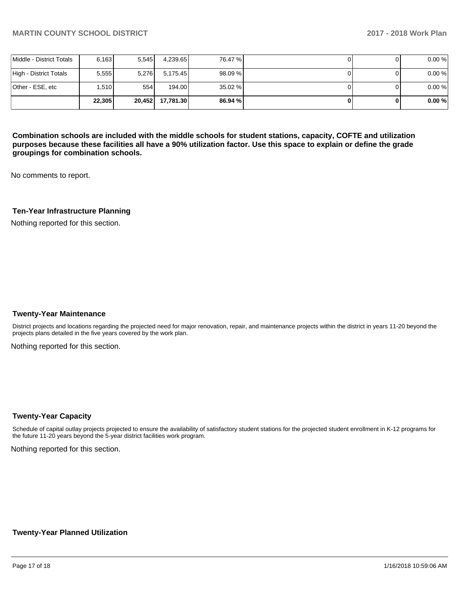|                          | 22.305 | 20.452 | 17.781.30 | 86.94 % |  | 0.00% |
|--------------------------|--------|--------|-----------|---------|--|-------|
| Other - ESE, etc         | .510   | 554    | 194.00    | 35.02 % |  | 0.00% |
| High - District Totals   | 5,555  | 5.276  | 5.175.45  | 98.09 % |  | 0.00% |
| Middle - District Totals | 6,163  | 5.545  | 4,239.65  | 76.47 % |  | 0.00% |

**Combination schools are included with the middle schools for student stations, capacity, COFTE and utilization purposes because these facilities all have a 90% utilization factor. Use this space to explain or define the grade groupings for combination schools.** 

No comments to report.

#### **Ten-Year Infrastructure Planning**

Nothing reported for this section.

#### **Twenty-Year Maintenance**

District projects and locations regarding the projected need for major renovation, repair, and maintenance projects within the district in years 11-20 beyond the projects plans detailed in the five years covered by the work plan.

Nothing reported for this section.

#### **Twenty-Year Capacity**

Schedule of capital outlay projects projected to ensure the availability of satisfactory student stations for the projected student enrollment in K-12 programs for the future 11-20 years beyond the 5-year district facilities work program.

Nothing reported for this section.

#### **Twenty-Year Planned Utilization**